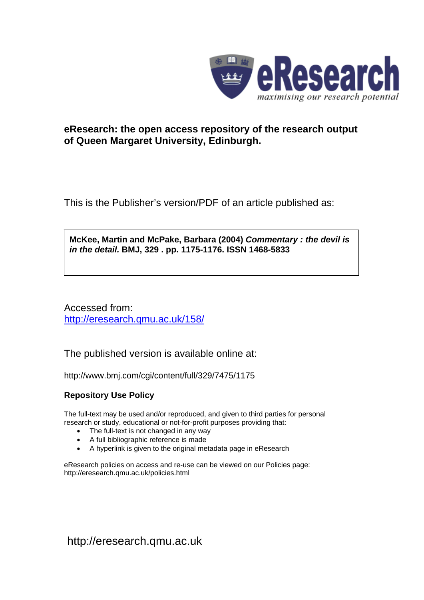

# **eResearch: the open access repository of the research output of Queen Margaret University, Edinburgh.**

This is the Publisher's version/PDF of an article published as:

**McKee, Martin and McPake, Barbara (2004)** *Commentary : the devil is in the detail.* **BMJ, 329 . pp. 1175-1176. ISSN 1468-5833** 

Accessed from: <http://eresearch.qmu.ac.uk/158/>

The published version is available online at:

http://www.bmj.com/cgi/content/full/329/7475/1175

### **Repository Use Policy**

The full-text may be used and/or reproduced, and given to third parties for personal research or study, educational or not-for-profit purposes providing that:

- The full-text is not changed in any way
- A full bibliographic reference is made
- A hyperlink is given to the original metadata page in eResearch

eResearch policies on access and re-use can be viewed on our Policies page: <http://eresearch.qmu.ac.uk/policies.html>

[http://eresearch.qmu.ac.uk](http://eresearch.qmu.ac.uk/)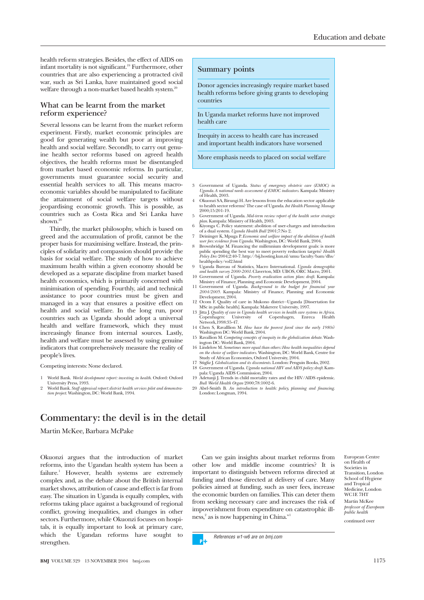health reform strategies. Besides, the effect of AIDS on infant mortality is not significant.19 Furthermore, other countries that are also experiencing a protracted civil war, such as Sri Lanka, have maintained good social welfare through a non-market based health system.<sup>20</sup>

### **What can be learnt from the market reform experience?**

Several lessons can be learnt from the market reform experiment. Firstly, market economic principles are good for generating wealth but poor at improving health and social welfare. Secondly, to carry out genuine health sector reforms based on agreed health objectives, the health reforms must be disentangled from market based economic reforms. In particular, governments must guarantee social security and essential health services to all. This means macroeconomic variables should be manipulated to facilitate the attainment of social welfare targets without jeopardising economic growth. This is possible, as countries such as Costa Rica and Sri Lanka have shown. $2<sup>0</sup>$ 

Thirdly, the market philosophy, which is based on greed and the accumulation of profit, cannot be the proper basis for maximising welfare. Instead, the principles of solidarity and compassion should provide the basis for social welfare. The study of how to achieve maximum health within a given economy should be developed as a separate discipline from market based health economics, which is primarily concerned with minimisation of spending. Fourthly, aid and technical assistance to poor countries must be given and managed in a way that ensures a positive effect on health and social welfare. In the long run, poor countries such as Uganda should adopt a universal health and welfare framework, which they must increasingly finance from internal sources. Lastly, health and welfare must be assessed by using genuine indicators that comprehensively measure the reality of people's lives.

Competing interests: None declared.

- 1 World Bank. *World development report: investing in health*. Oxford: Oxford University Press, 1993.
- 2 World Bank. *Staff appraisal report: district health services pilot and demonstration project*. Washington, DC: World Bank, 1994.

### **Summary points**

Donor agencies increasingly require market based health reforms before giving grants to developing countries

In Uganda market reforms have not improved health care

Inequity in access to health care has increased and important health indicators have worsened

More emphasis needs to placed on social welfare

- 3 Government of Uganda. *Status of emergency obstetric care (EMOC) in Uganda. A national needs assessment of EMOC indicators*. Kampala: Ministry of Health, 2003.
- 4 Okuonzi SA, Birungi H. Are lessons from the education sector applicable to health sector reforms? The case of Uganda. *Int Health Planning Manage* 2000;15:201-19.
- 5 Government of Uganda. *Mid-term review report of the health sector strategic plan*. Kampala: Ministry of Health, 2003. 6 Kiyonga C. Policy statement: abolition of user-charges and introduction
- of a dual system. *Uganda Health Bull* 2001;7:No 2.
- 
- 7 Deininger K, Mpuga P. *Economic and welfare impact of the abolition of health* user *fees: evidence from Uganda*. Washington, DC: World Bank, 2004.<br>8 Brownbridge M. Financing the millennium development goals: is more pu healthpolicy/vol2.html
- 9 Uganda Bureau of Statistics, Macro International. *Uganda demographic and health survey 2000-2001.* Claverton, MD: UBOS, ORC Macro, 2001.
- 10 Government of Uganda. *Poverty eradication action plan: draft*. Kampala: Ministry of Finance, Planning and Economic Development, 2004.
- 11 Government of Uganda. *Background to the budget for financial year 2004/2005*. Kampala: Ministry of Finance, Planning and Economic Development, 2004. 12 Ocom F. Quality of care in Mukono district—Uganda [Dissertation for
- MSc in public health]. Kampala: Makerere University, 1997. 13 Jitta J. *Quality of care in Uganda health services in health care systems in Africa*.
- Copenhagen: University of Copenhagen, Enreca Health Network,1998:35-47.
- 14 Chen S, Ravalllion M. *How have the poorest fared since the early 1980s*? Washington DC: World Bank, 2004.
- 15 Ravallion M. *Competing concepts of inequity in the globalization debate*. Wash-ington DC: World Bank, 2004.
- 16 Lindelow M. *Sometimes more equal than others:How health inequalities depend on the choice of welfare indicators*. Washington, DC: World Bank, Centre for Study of African Economies, Oxford University, 2004.
- 17 Stigliz J. *Globalization and its discontents*. London: Penguin Books, 2002.
- 18 Government of Uganda. *Uganda national HIV and AIDS policy: draft*. Kam-pala: Uganda AIDS Commission, 2004. 19 Adetunji J. Trends in child mortality rates and the HIV/AIDS epidemic.
- *Bull World Health Organ* 2000;78:1002-6. 20 Abel-Smith B. *An introduction to health: policy, planning and financing*. London: Longman, 1994.

## **Commentary: the devil is in the detail**

Martin McKee, Barbara McPake

Okuonzi argues that the introduction of market reforms, into the Ugandan health system has been a failure.<sup>1</sup> However, health systems are extremely complex and, as the debate about the British internal market shows, attribution of cause and effect is far from easy. The situation in Uganda is equally complex, with reforms taking place against a background of regional conflict, growing inequalities, and changes in other sectors. Furthermore, while Okuonzi focuses on hospitals, it is equally important to look at primary care, which the Ugandan reforms have sought to strengthen.

**BMJ** VOLUME 329 13 NOVEMBER 2004 bmj.com 1175

Can we gain insights about market reforms from other low and middle income countries? It is important to distinguish between reforms directed at funding and those directed at delivery of care. Many policies aimed at funding, such as user fees, increase the economic burden on families. This can deter them from seeking necessary care and increases the risk of impoverishment from expenditure on catastrophic illness,<sup>2</sup> as is now happening in China.<sup>w1</sup>

References w1-w6 are on bmj.com

School of Hygiene and Tropical Medicine, London WC1E 7HT Martin McKee *professor of European public health* continued over

European Centre on Health of Societies in Transition, London